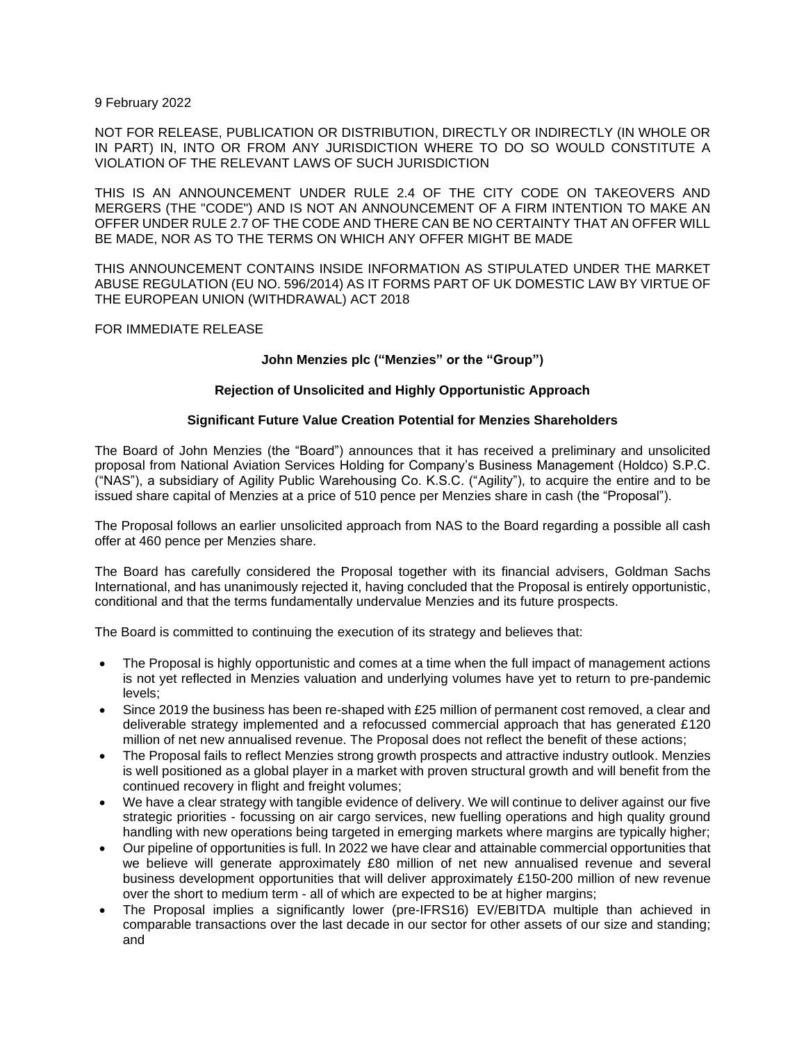9 February 2022

NOT FOR RELEASE, PUBLICATION OR DISTRIBUTION, DIRECTLY OR INDIRECTLY (IN WHOLE OR IN PART) IN, INTO OR FROM ANY JURISDICTION WHERE TO DO SO WOULD CONSTITUTE A VIOLATION OF THE RELEVANT LAWS OF SUCH JURISDICTION

THIS IS AN ANNOUNCEMENT UNDER RULE 2.4 OF THE CITY CODE ON TAKEOVERS AND MERGERS (THE "CODE") AND IS NOT AN ANNOUNCEMENT OF A FIRM INTENTION TO MAKE AN OFFER UNDER RULE 2.7 OF THE CODE AND THERE CAN BE NO CERTAINTY THAT AN OFFER WILL BE MADE, NOR AS TO THE TERMS ON WHICH ANY OFFER MIGHT BE MADE

THIS ANNOUNCEMENT CONTAINS INSIDE INFORMATION AS STIPULATED UNDER THE MARKET ABUSE REGULATION (EU NO. 596/2014) AS IT FORMS PART OF UK DOMESTIC LAW BY VIRTUE OF THE EUROPEAN UNION (WITHDRAWAL) ACT 2018

FOR IMMEDIATE RELEASE

## **John Menzies plc ("Menzies" or the "Group")**

## **Rejection of Unsolicited and Highly Opportunistic Approach**

## **Significant Future Value Creation Potential for Menzies Shareholders**

The Board of John Menzies (the "Board") announces that it has received a preliminary and unsolicited proposal from National Aviation Services Holding for Company's Business Management (Holdco) S.P.C. ("NAS"), a subsidiary of Agility Public Warehousing Co. K.S.C. ("Agility"), to acquire the entire and to be issued share capital of Menzies at a price of 510 pence per Menzies share in cash (the "Proposal").

The Proposal follows an earlier unsolicited approach from NAS to the Board regarding a possible all cash offer at 460 pence per Menzies share.

The Board has carefully considered the Proposal together with its financial advisers, Goldman Sachs International, and has unanimously rejected it, having concluded that the Proposal is entirely opportunistic, conditional and that the terms fundamentally undervalue Menzies and its future prospects.

The Board is committed to continuing the execution of its strategy and believes that:

- The Proposal is highly opportunistic and comes at a time when the full impact of management actions is not yet reflected in Menzies valuation and underlying volumes have yet to return to pre-pandemic levels;
- Since 2019 the business has been re-shaped with £25 million of permanent cost removed, a clear and deliverable strategy implemented and a refocussed commercial approach that has generated £120 million of net new annualised revenue. The Proposal does not reflect the benefit of these actions;
- The Proposal fails to reflect Menzies strong growth prospects and attractive industry outlook. Menzies is well positioned as a global player in a market with proven structural growth and will benefit from the continued recovery in flight and freight volumes;
- We have a clear strategy with tangible evidence of delivery. We will continue to deliver against our five strategic priorities - focussing on air cargo services, new fuelling operations and high quality ground handling with new operations being targeted in emerging markets where margins are typically higher;
- Our pipeline of opportunities is full. In 2022 we have clear and attainable commercial opportunities that we believe will generate approximately £80 million of net new annualised revenue and several business development opportunities that will deliver approximately £150-200 million of new revenue over the short to medium term - all of which are expected to be at higher margins;
- The Proposal implies a significantly lower (pre-IFRS16) EV/EBITDA multiple than achieved in comparable transactions over the last decade in our sector for other assets of our size and standing; and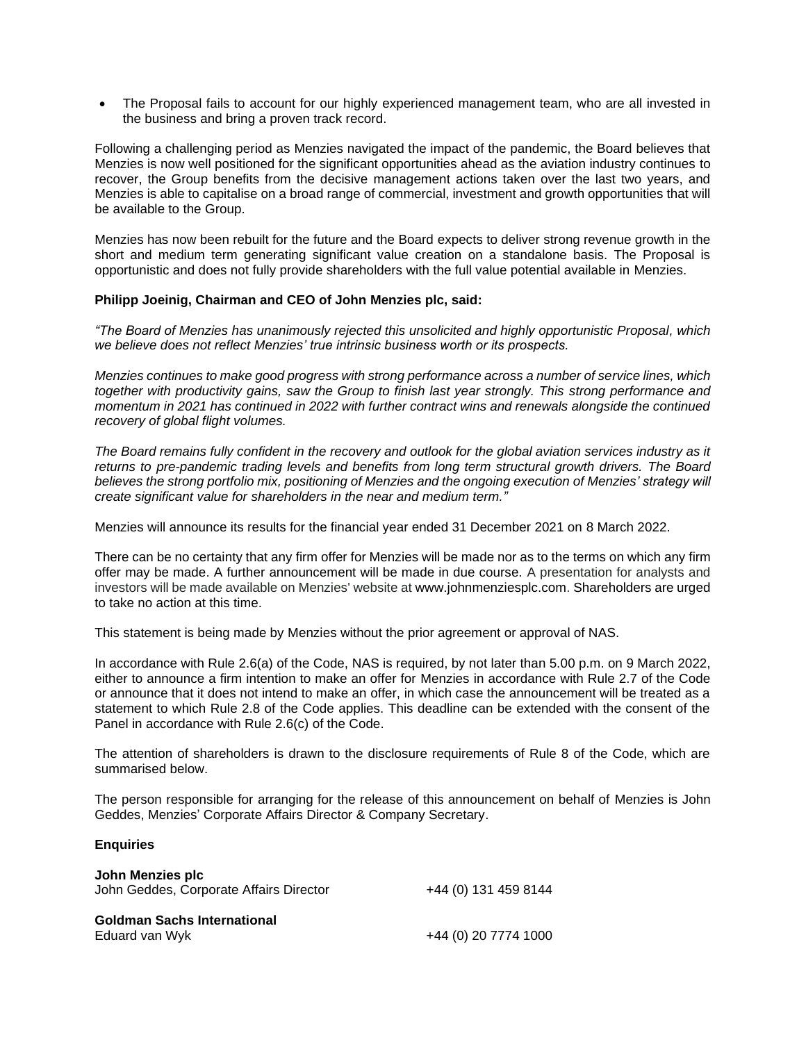• The Proposal fails to account for our highly experienced management team, who are all invested in the business and bring a proven track record.

Following a challenging period as Menzies navigated the impact of the pandemic, the Board believes that Menzies is now well positioned for the significant opportunities ahead as the aviation industry continues to recover, the Group benefits from the decisive management actions taken over the last two years, and Menzies is able to capitalise on a broad range of commercial, investment and growth opportunities that will be available to the Group.

Menzies has now been rebuilt for the future and the Board expects to deliver strong revenue growth in the short and medium term generating significant value creation on a standalone basis. The Proposal is opportunistic and does not fully provide shareholders with the full value potential available in Menzies.

## **Philipp Joeinig, Chairman and CEO of John Menzies plc, said:**

*"The Board of Menzies has unanimously rejected this unsolicited and highly opportunistic Proposal, which we believe does not reflect Menzies' true intrinsic business worth or its prospects.* 

*Menzies continues to make good progress with strong performance across a number of service lines, which together with productivity gains, saw the Group to finish last year strongly. This strong performance and momentum in 2021 has continued in 2022 with further contract wins and renewals alongside the continued recovery of global flight volumes.*

*The Board remains fully confident in the recovery and outlook for the global aviation services industry as it returns to pre-pandemic trading levels and benefits from long term structural growth drivers. The Board believes the strong portfolio mix, positioning of Menzies and the ongoing execution of Menzies' strategy will create significant value for shareholders in the near and medium term."*

Menzies will announce its results for the financial year ended 31 December 2021 on 8 March 2022.

There can be no certainty that any firm offer for Menzies will be made nor as to the terms on which any firm offer may be made. A further announcement will be made in due course. A presentation for analysts and investors will be made available on Menzies' website at www.johnmenziesplc.com. Shareholders are urged to take no action at this time.

This statement is being made by Menzies without the prior agreement or approval of NAS.

In accordance with Rule 2.6(a) of the Code, NAS is required, by not later than 5.00 p.m. on 9 March 2022, either to announce a firm intention to make an offer for Menzies in accordance with Rule 2.7 of the Code or announce that it does not intend to make an offer, in which case the announcement will be treated as a statement to which Rule 2.8 of the Code applies. This deadline can be extended with the consent of the Panel in accordance with Rule 2.6(c) of the Code.

The attention of shareholders is drawn to the disclosure requirements of Rule 8 of the Code, which are summarised below.

The person responsible for arranging for the release of this announcement on behalf of Menzies is John Geddes, Menzies' Corporate Affairs Director & Company Secretary.

## **Enquiries**

| John Menzies plc<br>John Geddes, Corporate Affairs Director | +44 (0) 131 459 8144 |
|-------------------------------------------------------------|----------------------|
| <b>Goldman Sachs International</b><br>Eduard van Wyk        | +44 (0) 20 7774 1000 |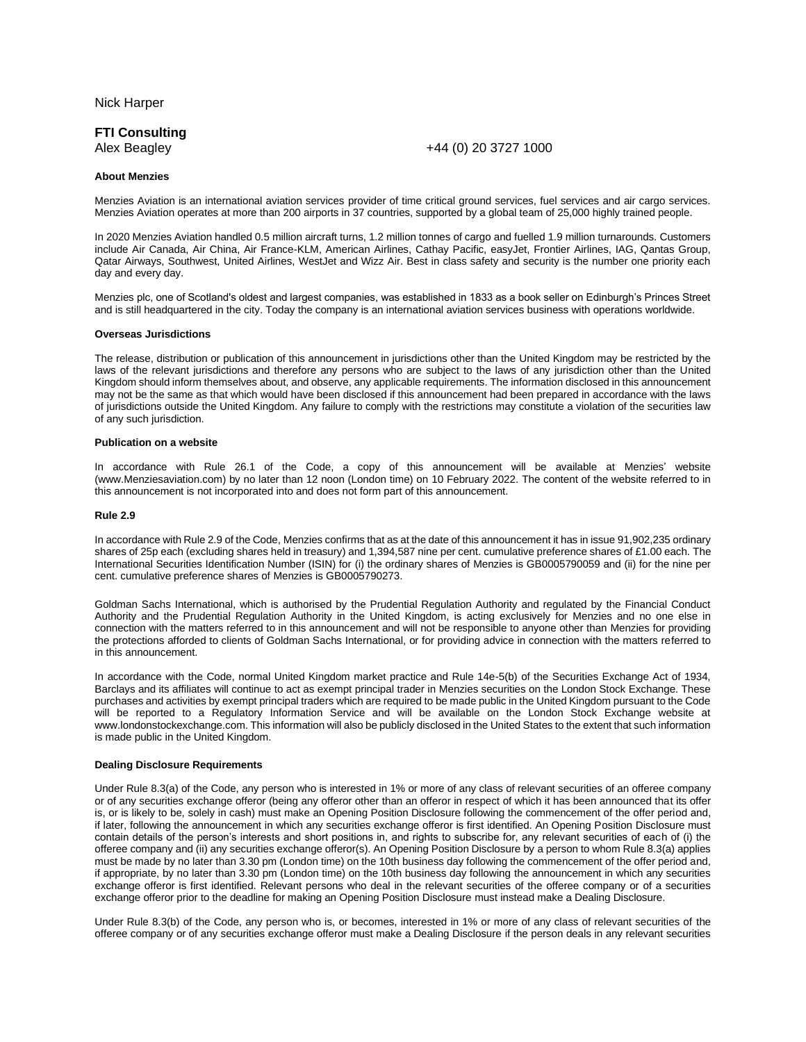Nick Harper

# **FTI Consulting**

### Alex Beagley +44 (0) 20 3727 1000

#### **About Menzies**

Menzies Aviation is an international aviation services provider of time critical ground services, fuel services and air cargo services. Menzies Aviation operates at more than 200 airports in 37 countries, supported by a global team of 25,000 highly trained people.

In 2020 Menzies Aviation handled 0.5 million aircraft turns, 1.2 million tonnes of cargo and fuelled 1.9 million turnarounds. Customers include Air Canada, Air China, Air France-KLM, American Airlines, Cathay Pacific, easyJet, Frontier Airlines, IAG, Qantas Group, Qatar Airways, Southwest, United Airlines, WestJet and Wizz Air. Best in class safety and security is the number one priority each day and every day.

Menzies plc, one of Scotland's oldest and largest companies, was established in 1833 as a book seller on Edinburgh's Princes Street and is still headquartered in the city. Today the company is an international aviation services business with operations worldwide.

#### **Overseas Jurisdictions**

The release, distribution or publication of this announcement in jurisdictions other than the United Kingdom may be restricted by the laws of the relevant jurisdictions and therefore any persons who are subject to the laws of any jurisdiction other than the United Kingdom should inform themselves about, and observe, any applicable requirements. The information disclosed in this announcement may not be the same as that which would have been disclosed if this announcement had been prepared in accordance with the laws of jurisdictions outside the United Kingdom. Any failure to comply with the restrictions may constitute a violation of the securities law of any such jurisdiction.

#### **Publication on a website**

In accordance with Rule 26.1 of the Code, a copy of this announcement will be available at Menzies' website (www.Menziesaviation.com) by no later than 12 noon (London time) on 10 February 2022. The content of the website referred to in this announcement is not incorporated into and does not form part of this announcement.

#### **Rule 2.9**

In accordance with Rule 2.9 of the Code, Menzies confirms that as at the date of this announcement it has in issue 91,902,235 ordinary shares of 25p each (excluding shares held in treasury) and 1,394,587 nine per cent. cumulative preference shares of £1.00 each. The International Securities Identification Number (ISIN) for (i) the ordinary shares of Menzies is GB0005790059 and (ii) for the nine per cent. cumulative preference shares of Menzies is GB0005790273.

Goldman Sachs International, which is authorised by the Prudential Regulation Authority and regulated by the Financial Conduct Authority and the Prudential Regulation Authority in the United Kingdom, is acting exclusively for Menzies and no one else in connection with the matters referred to in this announcement and will not be responsible to anyone other than Menzies for providing the protections afforded to clients of Goldman Sachs International, or for providing advice in connection with the matters referred to in this announcement.

In accordance with the Code, normal United Kingdom market practice and Rule 14e-5(b) of the Securities Exchange Act of 1934, Barclays and its affiliates will continue to act as exempt principal trader in Menzies securities on the London Stock Exchange. These purchases and activities by exempt principal traders which are required to be made public in the United Kingdom pursuant to the Code will be reported to a Regulatory Information Service and will be available on the London Stock Exchange website at www.londonstockexchange.com. This information will also be publicly disclosed in the United States to the extent that such information is made public in the United Kingdom.

#### **Dealing Disclosure Requirements**

Under Rule 8.3(a) of the Code, any person who is interested in 1% or more of any class of relevant securities of an offeree company or of any securities exchange offeror (being any offeror other than an offeror in respect of which it has been announced that its offer is, or is likely to be, solely in cash) must make an Opening Position Disclosure following the commencement of the offer period and, if later, following the announcement in which any securities exchange offeror is first identified. An Opening Position Disclosure must contain details of the person's interests and short positions in, and rights to subscribe for, any relevant securities of each of (i) the offeree company and (ii) any securities exchange offeror(s). An Opening Position Disclosure by a person to whom Rule 8.3(a) applies must be made by no later than 3.30 pm (London time) on the 10th business day following the commencement of the offer period and, if appropriate, by no later than 3.30 pm (London time) on the 10th business day following the announcement in which any securities exchange offeror is first identified. Relevant persons who deal in the relevant securities of the offeree company or of a securities exchange offeror prior to the deadline for making an Opening Position Disclosure must instead make a Dealing Disclosure.

Under Rule 8.3(b) of the Code, any person who is, or becomes, interested in 1% or more of any class of relevant securities of the offeree company or of any securities exchange offeror must make a Dealing Disclosure if the person deals in any relevant securities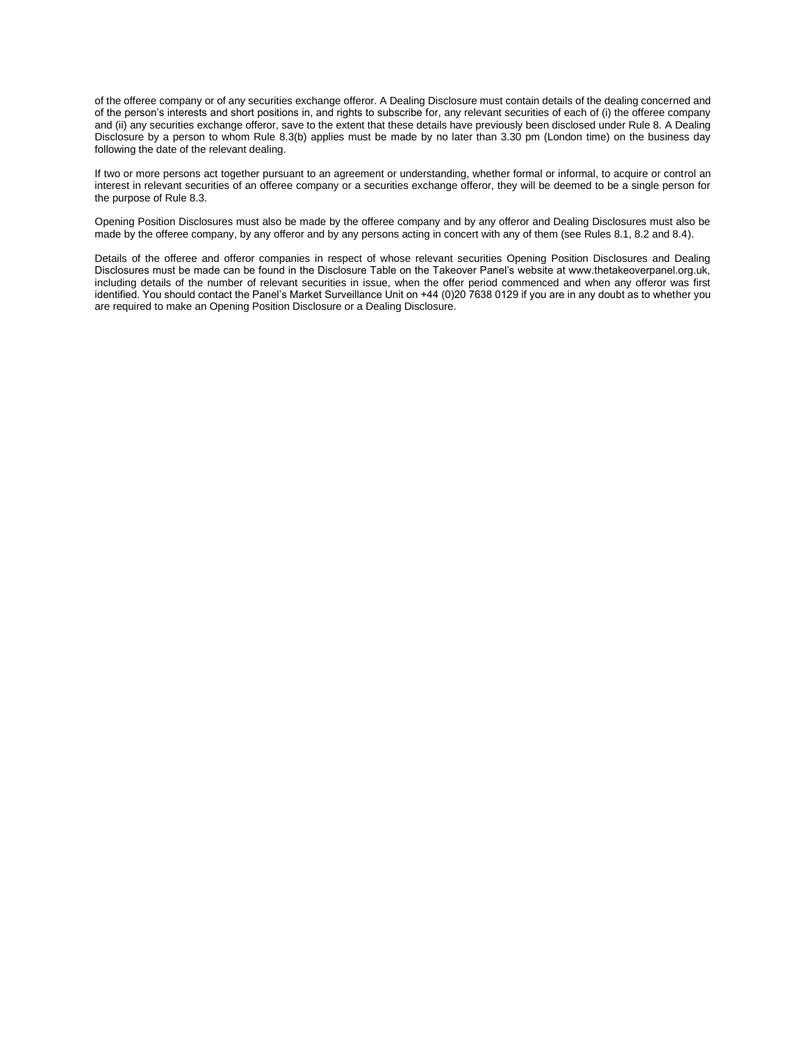of the offeree company or of any securities exchange offeror. A Dealing Disclosure must contain details of the dealing concerned and of the person's interests and short positions in, and rights to subscribe for, any relevant securities of each of (i) the offeree company and (ii) any securities exchange offeror, save to the extent that these details have previously been disclosed under Rule 8. A Dealing Disclosure by a person to whom Rule 8.3(b) applies must be made by no later than 3.30 pm (London time) on the business day following the date of the relevant dealing.

If two or more persons act together pursuant to an agreement or understanding, whether formal or informal, to acquire or control an interest in relevant securities of an offeree company or a securities exchange offeror, they will be deemed to be a single person for the purpose of Rule 8.3.

Opening Position Disclosures must also be made by the offeree company and by any offeror and Dealing Disclosures must also be made by the offeree company, by any offeror and by any persons acting in concert with any of them (see Rules 8.1, 8.2 and 8.4).

Details of the offeree and offeror companies in respect of whose relevant securities Opening Position Disclosures and Dealing Disclosures must be made can be found in the Disclosure Table on the Takeover Panel's website at www.thetakeoverpanel.org.uk, including details of the number of relevant securities in issue, when the offer period commenced and when any offeror was first identified. You should contact the Panel's Market Surveillance Unit on +44 (0)20 7638 0129 if you are in any doubt as to whether you are required to make an Opening Position Disclosure or a Dealing Disclosure.